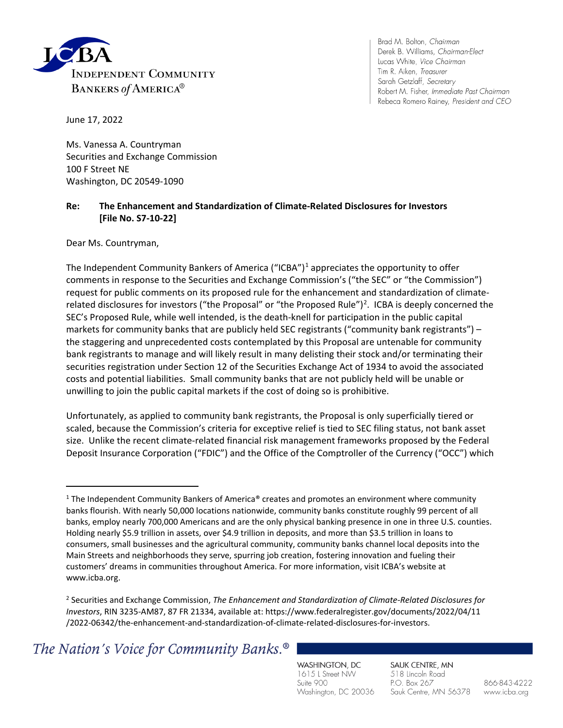

Brad M. Bolton, Chairman Derek B. Williams, Chairman-Elect Lucas White, Vice Chairman Tim R. Aiken, Treasurer Sarah Getzlaff, Secretary Robert M. Fisher, Immediate Past Chairman Rebeca Romero Rainey, President and CEO

June 17, 2022

Ms. Vanessa A. Countryman Securities and Exchange Commission 100 F Street NE Washington, DC 20549-1090

### **Re: The Enhancement and Standardization of Climate-Related Disclosures for Investors [File No. S7-10-22]**

Dear Ms. Countryman,

The Independent Community Bankers of America ("ICBA")<sup>[1](#page-0-0)</sup> appreciates the opportunity to offer comments in response to the Securities and Exchange Commission's ("the SEC" or "the Commission") request for public comments on its proposed rule for the enhancement and standardization of climate-related disclosures for investors ("the Proposal" or "the Proposed Rule")<sup>[2](#page-0-1)</sup>. ICBA is deeply concerned the SEC's Proposed Rule, while well intended, is the death-knell for participation in the public capital markets for community banks that are publicly held SEC registrants ("community bank registrants") – the staggering and unprecedented costs contemplated by this Proposal are untenable for community bank registrants to manage and will likely result in many delisting their stock and/or terminating their securities registration under Section 12 of the Securities Exchange Act of 1934 to avoid the associated costs and potential liabilities. Small community banks that are not publicly held will be unable or unwilling to join the public capital markets if the cost of doing so is prohibitive.

Unfortunately, as applied to community bank registrants, the Proposal is only superficially tiered or scaled, because the Commission's criteria for exceptive relief is tied to SEC filing status, not bank asset size. Unlike the recent climate-related financial risk management frameworks proposed by the Federal Deposit Insurance Corporation ("FDIC") and the Office of the Comptroller of the Currency ("OCC") which

<span id="page-0-1"></span>The Nation's Voice for Community Banks.<sup>®</sup>

WASHINGTON, DC 1615 L Street NW Suite 900 Washington, DC 20036

SAUK CENTRE, MN 518 Lincoln Road P.O. Box 267 Sauk Centre, MN 56378

866-843-4222 www.icba.org

<span id="page-0-0"></span> $1$  The Independent Community Bankers of America® creates and promotes an environment where community banks flourish. With nearly 50,000 locations nationwide, community banks constitute roughly 99 percent of all banks, employ nearly 700,000 Americans and are the only physical banking presence in one in three U.S. counties. Holding nearly \$5.9 trillion in assets, over \$4.9 trillion in deposits, and more than \$3.5 trillion in loans to consumers, small businesses and the agricultural community, community banks channel local deposits into the Main Streets and neighborhoods they serve, spurring job creation, fostering innovation and fueling their customers' dreams in communities throughout America. For more information, visit ICBA's website at www.icba.org.

<sup>2</sup> Securities and Exchange Commission, *The Enhancement and Standardization of Climate-Related Disclosures for Investors*, RIN 3235-AM87, 87 FR 21334, available at: https://www.federalregister.gov/documents/2022/04/11 /2022-06342/the-enhancement-and-standardization-of-climate-related-disclosures-for-investors.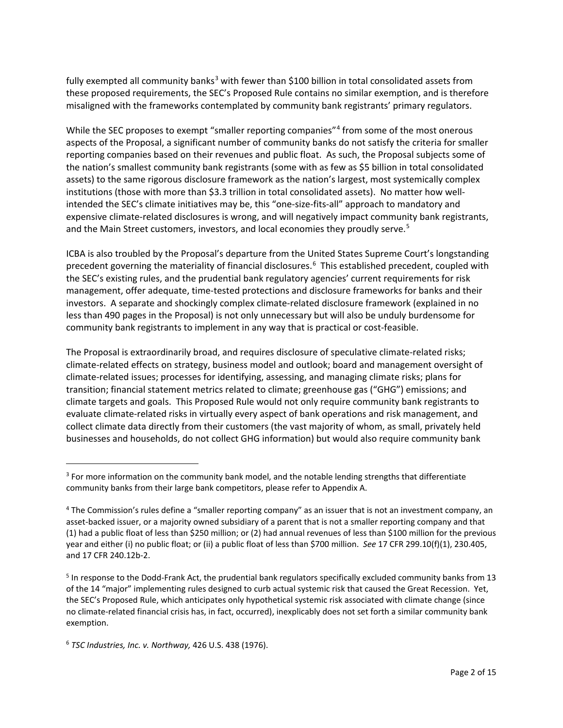fully exempted all community banks<sup>[3](#page-1-0)</sup> with fewer than \$100 billion in total consolidated assets from these proposed requirements, the SEC's Proposed Rule contains no similar exemption, and is therefore misaligned with the frameworks contemplated by community bank registrants' primary regulators.

While the SEC proposes to exempt "smaller reporting companies"<sup>[4](#page-1-1)</sup> from some of the most onerous aspects of the Proposal, a significant number of community banks do not satisfy the criteria for smaller reporting companies based on their revenues and public float. As such, the Proposal subjects some of the nation's smallest community bank registrants (some with as few as \$5 billion in total consolidated assets) to the same rigorous disclosure framework as the nation's largest, most systemically complex institutions (those with more than \$3.3 trillion in total consolidated assets). No matter how wellintended the SEC's climate initiatives may be, this "one-size-fits-all" approach to mandatory and expensive climate-related disclosures is wrong, and will negatively impact community bank registrants, and the Main Street customers, investors, and local economies they proudly serve.<sup>[5](#page-1-2)</sup>

ICBA is also troubled by the Proposal's departure from the United States Supreme Court's longstanding precedent governing the materiality of financial disclosures.<sup>[6](#page-1-3)</sup> This established precedent, coupled with the SEC's existing rules, and the prudential bank regulatory agencies' current requirements for risk management, offer adequate, time-tested protections and disclosure frameworks for banks and their investors. A separate and shockingly complex climate-related disclosure framework (explained in no less than 490 pages in the Proposal) is not only unnecessary but will also be unduly burdensome for community bank registrants to implement in any way that is practical or cost-feasible.

The Proposal is extraordinarily broad, and requires disclosure of speculative climate-related risks; climate-related effects on strategy, business model and outlook; board and management oversight of climate-related issues; processes for identifying, assessing, and managing climate risks; plans for transition; financial statement metrics related to climate; greenhouse gas ("GHG") emissions; and climate targets and goals. This Proposed Rule would not only require community bank registrants to evaluate climate-related risks in virtually every aspect of bank operations and risk management, and collect climate data directly from their customers (the vast majority of whom, as small, privately held businesses and households, do not collect GHG information) but would also require community bank

<span id="page-1-0"></span> $3$  For more information on the community bank model, and the notable lending strengths that differentiate community banks from their large bank competitors, please refer to Appendix A.

<span id="page-1-1"></span><sup>4</sup> The Commission's rules define a "smaller reporting company" as an issuer that is not an investment company, an asset-backed issuer, or a majority owned subsidiary of a parent that is not a smaller reporting company and that (1) had a public float of less than \$250 million; or (2) had annual revenues of less than \$100 million for the previous year and either (i) no public float; or (ii) a public float of less than \$700 million. *See* 17 CFR 299.10(f)(1), 230.405, and 17 CFR 240.12b-2.

<span id="page-1-2"></span><sup>5</sup> In response to the Dodd-Frank Act, the prudential bank regulators specifically excluded community banks from 13 of the 14 "major" implementing rules designed to curb actual systemic risk that caused the Great Recession. Yet, the SEC's Proposed Rule, which anticipates only hypothetical systemic risk associated with climate change (since no climate-related financial crisis has, in fact, occurred), inexplicably does not set forth a similar community bank exemption.

<span id="page-1-3"></span><sup>6</sup> *TSC Industries, Inc. v. Northway,* 426 U.S. 438 (1976).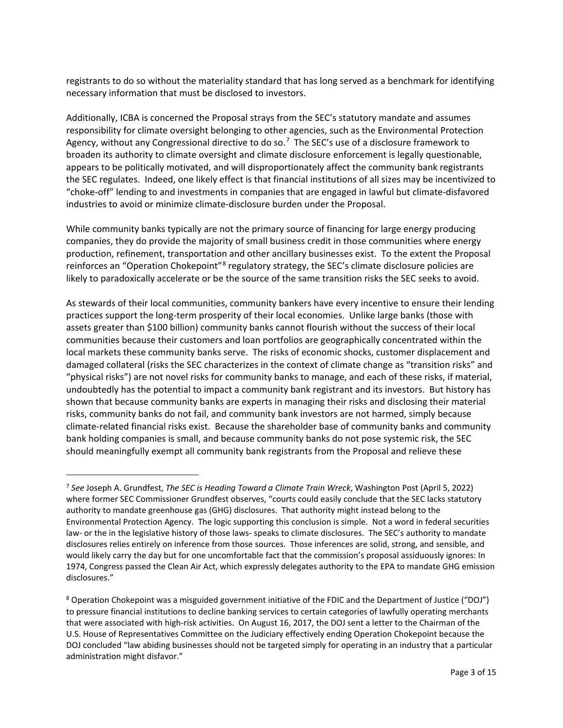registrants to do so without the materiality standard that has long served as a benchmark for identifying necessary information that must be disclosed to investors.

Additionally, ICBA is concerned the Proposal strays from the SEC's statutory mandate and assumes responsibility for climate oversight belonging to other agencies, such as the Environmental Protection Agency, without any Congressional directive to do so.<sup>[7](#page-2-0)</sup> The SEC's use of a disclosure framework to broaden its authority to climate oversight and climate disclosure enforcement is legally questionable, appears to be politically motivated, and will disproportionately affect the community bank registrants the SEC regulates. Indeed, one likely effect is that financial institutions of all sizes may be incentivized to "choke-off" lending to and investments in companies that are engaged in lawful but climate-disfavored industries to avoid or minimize climate-disclosure burden under the Proposal.

While community banks typically are not the primary source of financing for large energy producing companies, they do provide the majority of small business credit in those communities where energy production, refinement, transportation and other ancillary businesses exist. To the extent the Proposal reinforces an "Operation Chokepoint"<sup>[8](#page-2-1)</sup> regulatory strategy, the SEC's climate disclosure policies are likely to paradoxically accelerate or be the source of the same transition risks the SEC seeks to avoid.

As stewards of their local communities, community bankers have every incentive to ensure their lending practices support the long-term prosperity of their local economies. Unlike large banks (those with assets greater than \$100 billion) community banks cannot flourish without the success of their local communities because their customers and loan portfolios are geographically concentrated within the local markets these community banks serve. The risks of economic shocks, customer displacement and damaged collateral (risks the SEC characterizes in the context of climate change as "transition risks" and "physical risks") are not novel risks for community banks to manage, and each of these risks, if material, undoubtedly has the potential to impact a community bank registrant and its investors. But history has shown that because community banks are experts in managing their risks and disclosing their material risks, community banks do not fail, and community bank investors are not harmed, simply because climate-related financial risks exist. Because the shareholder base of community banks and community bank holding companies is small, and because community banks do not pose systemic risk, the SEC should meaningfully exempt all community bank registrants from the Proposal and relieve these

<span id="page-2-0"></span><sup>7</sup> *See* Joseph A. Grundfest, *The SEC is Heading Toward a Climate Train Wreck*, Washington Post (April 5, 2022) where former SEC Commissioner Grundfest observes, "courts could easily conclude that the SEC lacks statutory authority to mandate greenhouse gas (GHG) disclosures. That authority might instead belong to the Environmental Protection Agency. The logic supporting this conclusion is simple. Not a word in federal securities law- or the in the legislative history of those laws- speaks to climate disclosures. The SEC's authority to mandate disclosures relies entirely on inference from those sources. Those inferences are solid, strong, and sensible, and would likely carry the day but for one uncomfortable fact that the commission's proposal assiduously ignores: In 1974, Congress passed the Clean Air Act, which expressly delegates authority to the EPA to mandate GHG emission disclosures."

<span id="page-2-1"></span><sup>8</sup> Operation Chokepoint was a misguided government initiative of the FDIC and the Department of Justice ("DOJ") to pressure financial institutions to decline banking services to certain categories of lawfully operating merchants that were associated with high-risk activities. On August 16, 2017, the DOJ sent a letter to the Chairman of the U.S. House of Representatives Committee on the Judiciary effectively ending Operation Chokepoint because the DOJ concluded "law abiding businesses should not be targeted simply for operating in an industry that a particular administration might disfavor."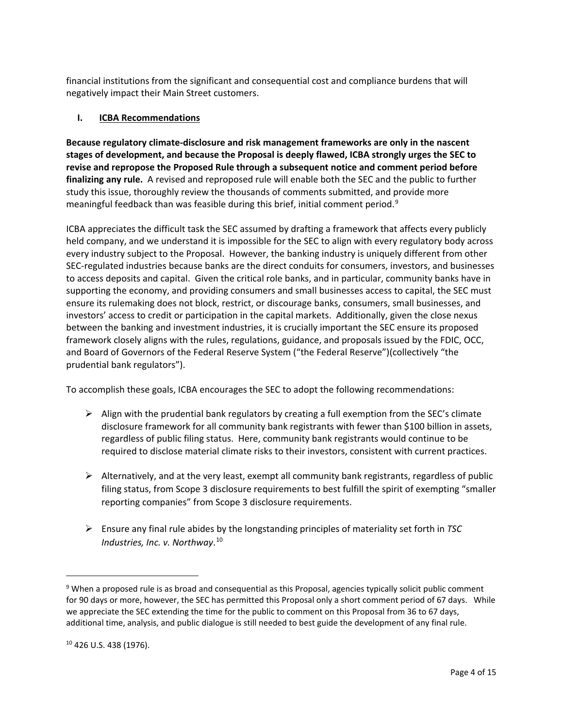financial institutions from the significant and consequential cost and compliance burdens that will negatively impact their Main Street customers.

### **I. ICBA Recommendations**

**Because regulatory climate-disclosure and risk management frameworks are only in the nascent stages of development, and because the Proposal is deeply flawed, ICBA strongly urges the SEC to revise and repropose the Proposed Rule through a subsequent notice and comment period before finalizing any rule.** A revised and reproposed rule will enable both the SEC and the public to further study this issue, thoroughly review the thousands of comments submitted, and provide more meaningful feedback than was feasible during this brief, initial comment period.<sup>[9](#page-3-0)</sup>

ICBA appreciates the difficult task the SEC assumed by drafting a framework that affects every publicly held company, and we understand it is impossible for the SEC to align with every regulatory body across every industry subject to the Proposal. However, the banking industry is uniquely different from other SEC-regulated industries because banks are the direct conduits for consumers, investors, and businesses to access deposits and capital. Given the critical role banks, and in particular, community banks have in supporting the economy, and providing consumers and small businesses access to capital, the SEC must ensure its rulemaking does not block, restrict, or discourage banks, consumers, small businesses, and investors' access to credit or participation in the capital markets. Additionally, given the close nexus between the banking and investment industries, it is crucially important the SEC ensure its proposed framework closely aligns with the rules, regulations, guidance, and proposals issued by the FDIC, OCC, and Board of Governors of the Federal Reserve System ("the Federal Reserve")(collectively "the prudential bank regulators").

To accomplish these goals, ICBA encourages the SEC to adopt the following recommendations:

- $\triangleright$  Align with the prudential bank regulators by creating a full exemption from the SEC's climate disclosure framework for all community bank registrants with fewer than \$100 billion in assets, regardless of public filing status. Here, community bank registrants would continue to be required to disclose material climate risks to their investors, consistent with current practices.
- $\triangleright$  Alternatively, and at the very least, exempt all community bank registrants, regardless of public filing status, from Scope 3 disclosure requirements to best fulfill the spirit of exempting "smaller reporting companies" from Scope 3 disclosure requirements.
- Ensure any final rule abides by the longstanding principles of materiality set forth in *TSC Industries, Inc. v. Northway*. [10](#page-3-1)

<span id="page-3-0"></span><sup>&</sup>lt;sup>9</sup> When a proposed rule is as broad and consequential as this Proposal, agencies typically solicit public comment for 90 days or more, however, the SEC has permitted this Proposal only a short comment period of 67 days. While we appreciate the SEC extending the time for the public to comment on this Proposal from 36 to 67 days, additional time, analysis, and public dialogue is still needed to best guide the development of any final rule.

<span id="page-3-1"></span><sup>10</sup> 426 U.S. 438 (1976).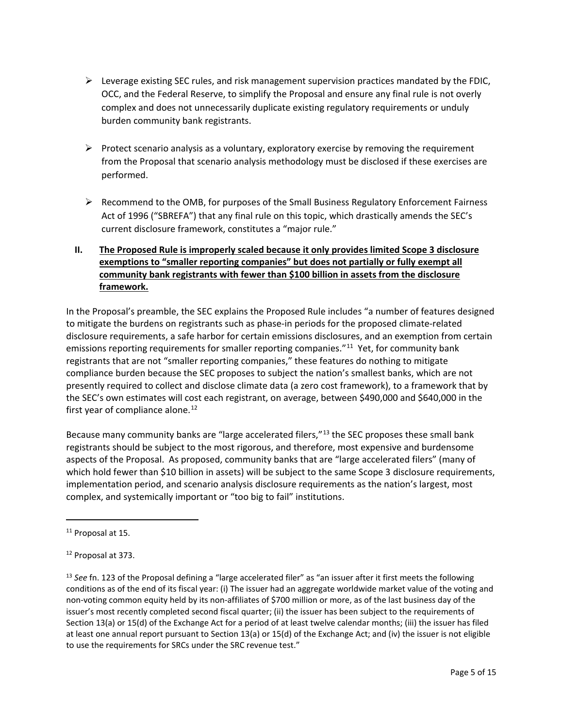- $\triangleright$  Leverage existing SEC rules, and risk management supervision practices mandated by the FDIC, OCC, and the Federal Reserve, to simplify the Proposal and ensure any final rule is not overly complex and does not unnecessarily duplicate existing regulatory requirements or unduly burden community bank registrants.
- $\triangleright$  Protect scenario analysis as a voluntary, exploratory exercise by removing the requirement from the Proposal that scenario analysis methodology must be disclosed if these exercises are performed.
- $\triangleright$  Recommend to the OMB, for purposes of the Small Business Regulatory Enforcement Fairness Act of 1996 ("SBREFA") that any final rule on this topic, which drastically amends the SEC's current disclosure framework, constitutes a "major rule."

# **II. The Proposed Rule is improperly scaled because it only provides limited Scope 3 disclosure exemptions to "smaller reporting companies" but does not partially or fully exempt all community bank registrants with fewer than \$100 billion in assets from the disclosure framework.**

In the Proposal's preamble, the SEC explains the Proposed Rule includes "a number of features designed to mitigate the burdens on registrants such as phase-in periods for the proposed climate-related disclosure requirements, a safe harbor for certain emissions disclosures, and an exemption from certain emissions reporting requirements for smaller reporting companies."<sup>[11](#page-4-0)</sup> Yet, for community bank registrants that are not "smaller reporting companies," these features do nothing to mitigate compliance burden because the SEC proposes to subject the nation's smallest banks, which are not presently required to collect and disclose climate data (a zero cost framework), to a framework that by the SEC's own estimates will cost each registrant, on average, between \$490,000 and \$640,000 in the first year of compliance alone.<sup>12</sup>

Because many community banks are "large accelerated filers,"<sup>[13](#page-4-2)</sup> the SEC proposes these small bank registrants should be subject to the most rigorous, and therefore, most expensive and burdensome aspects of the Proposal. As proposed, community banks that are "large accelerated filers" (many of which hold fewer than \$10 billion in assets) will be subject to the same Scope 3 disclosure requirements, implementation period, and scenario analysis disclosure requirements as the nation's largest, most complex, and systemically important or "too big to fail" institutions.

<span id="page-4-0"></span><sup>&</sup>lt;sup>11</sup> Proposal at 15.

<span id="page-4-1"></span><sup>12</sup> Proposal at 373.

<span id="page-4-2"></span><sup>13</sup> *See* fn. 123 of the Proposal defining a "large accelerated filer" as "an issuer after it first meets the following conditions as of the end of its fiscal year: (i) The issuer had an aggregate worldwide market value of the voting and non-voting common equity held by its non-affiliates of \$700 million or more, as of the last business day of the issuer's most recently completed second fiscal quarter; (ii) the issuer has been subject to the requirements of Section 13(a) or 15(d) of the Exchange Act for a period of at least twelve calendar months; (iii) the issuer has filed at least one annual report pursuant to Section 13(a) or 15(d) of the Exchange Act; and (iv) the issuer is not eligible to use the requirements for SRCs under the SRC revenue test."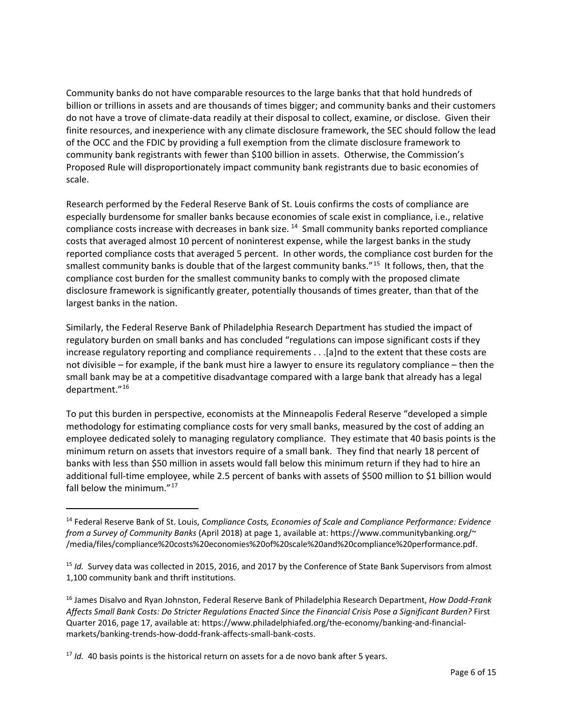Community banks do not have comparable resources to the large banks that that hold hundreds of billion or trillions in assets and are thousands of times bigger; and community banks and their customers do not have a trove of climate-data readily at their disposal to collect, examine, or disclose. Given their finite resources, and inexperience with any climate disclosure framework, the SEC should follow the lead of the OCC and the FDIC by providing a full exemption from the climate disclosure framework to community bank registrants with fewer than \$100 billion in assets. Otherwise, the Commission's Proposed Rule will disproportionately impact community bank registrants due to basic economies of scale.

Research performed by the Federal Reserve Bank of St. Louis confirms the costs of compliance are especially burdensome for smaller banks because economies of scale exist in compliance, i.e., relative compliance costs increase with decreases in bank size.<sup>14</sup> Small community banks reported compliance costs that averaged almost 10 percent of noninterest expense, while the largest banks in the study reported compliance costs that averaged 5 percent. In other words, the compliance cost burden for the smallest community banks is double that of the largest community banks."<sup>[15](#page-5-1)</sup> It follows, then, that the compliance cost burden for the smallest community banks to comply with the proposed climate disclosure framework is significantly greater, potentially thousands of times greater, than that of the largest banks in the nation.

Similarly, the Federal Reserve Bank of Philadelphia Research Department has studied the impact of regulatory burden on small banks and has concluded "regulations can impose significant costs if they increase regulatory reporting and compliance requirements . . .[a]nd to the extent that these costs are not divisible – for example, if the bank must hire a lawyer to ensure its regulatory compliance – then the small bank may be at a competitive disadvantage compared with a large bank that already has a legal department."[16](#page-5-2) 

To put this burden in perspective, economists at the Minneapolis Federal Reserve "developed a simple methodology for estimating compliance costs for very small banks, measured by the cost of adding an employee dedicated solely to managing regulatory compliance. They estimate that 40 basis points is the minimum return on assets that investors require of a small bank. They find that nearly 18 percent of banks with less than \$50 million in assets would fall below this minimum return if they had to hire an additional full-time employee, while 2.5 percent of banks with assets of \$500 million to \$1 billion would fall below the minimum."<sup>[17](#page-5-3)</sup>

<span id="page-5-0"></span><sup>14</sup> Federal Reserve Bank of St. Louis, *Compliance Costs, Economies of Scale and Compliance Performance: Evidence from a Survey of Community Banks* (April 2018) at page 1, available at: https://www.communitybanking.org/~ /media/files/compliance%20costs%20economies%20of%20scale%20and%20compliance%20performance.pdf.

<span id="page-5-1"></span><sup>&</sup>lt;sup>15</sup> *Id.* Survey data was collected in 2015, 2016, and 2017 by the Conference of State Bank Supervisors from almost 1,100 community bank and thrift institutions.

<span id="page-5-2"></span><sup>16</sup> James Disalvo and Ryan Johnston, Federal Reserve Bank of Philadelphia Research Department, *How Dodd-Frank Affects Small Bank Costs: Do Stricter Regulations Enacted Since the Financial Crisis Pose a Significant Burden?* First Quarter 2016, page 17, available at: https://www.philadelphiafed.org/the-economy/banking-and-financialmarkets/banking-trends-how-dodd-frank-affects-small-bank-costs.

<span id="page-5-3"></span><sup>&</sup>lt;sup>17</sup> *Id.* 40 basis points is the historical return on assets for a de novo bank after 5 years.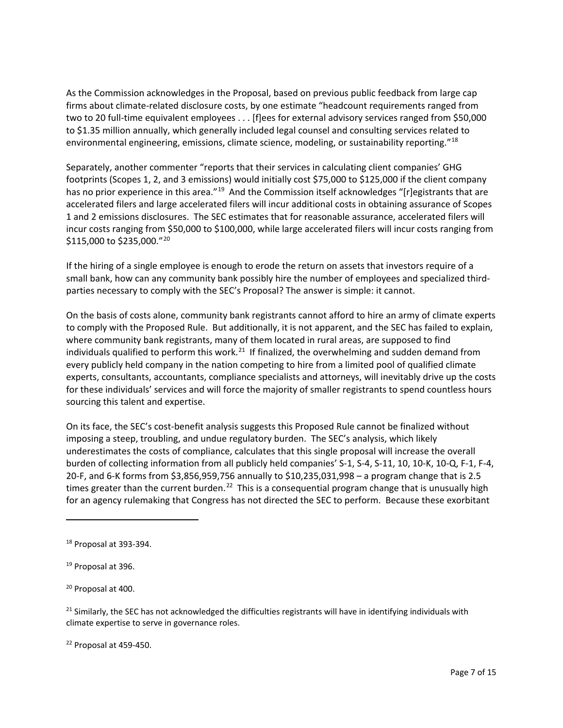As the Commission acknowledges in the Proposal, based on previous public feedback from large cap firms about climate-related disclosure costs, by one estimate "headcount requirements ranged from two to 20 full-time equivalent employees . . . [f]ees for external advisory services ranged from \$50,000 to \$1.35 million annually, which generally included legal counsel and consulting services related to environmental engineering, emissions, climate science, modeling, or sustainability reporting."[18](#page-6-0)

Separately, another commenter "reports that their services in calculating client companies' GHG footprints (Scopes 1, 2, and 3 emissions) would initially cost \$75,000 to \$125,000 if the client company has no prior experience in this area."<sup>[19](#page-6-1)</sup> And the Commission itself acknowledges "[r]egistrants that are accelerated filers and large accelerated filers will incur additional costs in obtaining assurance of Scopes 1 and 2 emissions disclosures. The SEC estimates that for reasonable assurance, accelerated filers will incur costs ranging from \$50,000 to \$100,000, while large accelerated filers will incur costs ranging from \$115,000 to \$235,000. $120$ 

If the hiring of a single employee is enough to erode the return on assets that investors require of a small bank, how can any community bank possibly hire the number of employees and specialized thirdparties necessary to comply with the SEC's Proposal? The answer is simple: it cannot.

On the basis of costs alone, community bank registrants cannot afford to hire an army of climate experts to comply with the Proposed Rule. But additionally, it is not apparent, and the SEC has failed to explain, where community bank registrants, many of them located in rural areas, are supposed to find individuals qualified to perform this work.<sup>21</sup> If finalized, the overwhelming and sudden demand from every publicly held company in the nation competing to hire from a limited pool of qualified climate experts, consultants, accountants, compliance specialists and attorneys, will inevitably drive up the costs for these individuals' services and will force the majority of smaller registrants to spend countless hours sourcing this talent and expertise.

On its face, the SEC's cost-benefit analysis suggests this Proposed Rule cannot be finalized without imposing a steep, troubling, and undue regulatory burden. The SEC's analysis, which likely underestimates the costs of compliance, calculates that this single proposal will increase the overall burden of collecting information from all publicly held companies' S-1, S-4, S-11, 10, 10-K, 10-Q, F-1, F-4, 20-F, and 6-K forms from \$3,856,959,756 annually to \$10,235,031,998 – a program change that is 2.5 times greater than the current burden.<sup>[22](#page-6-4)</sup> This is a consequential program change that is unusually high for an agency rulemaking that Congress has not directed the SEC to perform. Because these exorbitant

<span id="page-6-0"></span><sup>18</sup> Proposal at 393-394.

<span id="page-6-1"></span><sup>19</sup> Proposal at 396.

<span id="page-6-2"></span><sup>20</sup> Proposal at 400.

<span id="page-6-3"></span> $21$  Similarly, the SEC has not acknowledged the difficulties registrants will have in identifying individuals with climate expertise to serve in governance roles.

<span id="page-6-4"></span><sup>22</sup> Proposal at 459-450.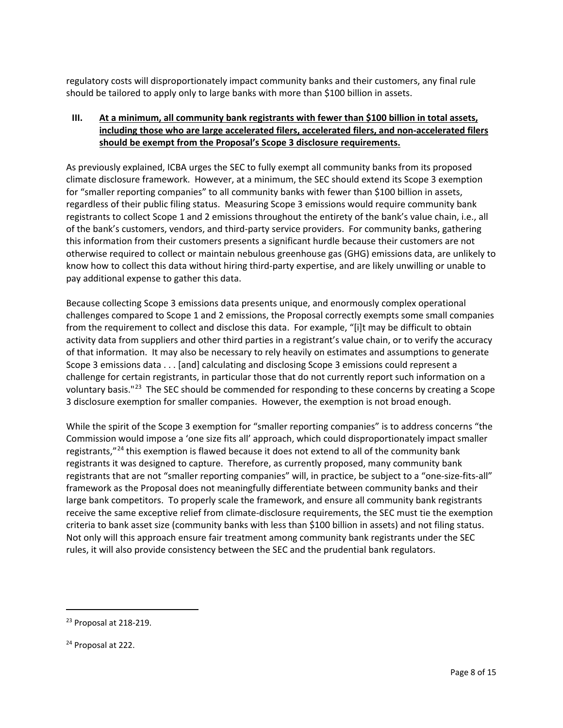regulatory costs will disproportionately impact community banks and their customers, any final rule should be tailored to apply only to large banks with more than \$100 billion in assets.

### **III. At a minimum, all community bank registrants with fewer than \$100 billion in total assets, including those who are large accelerated filers, accelerated filers, and non-accelerated filers should be exempt from the Proposal's Scope 3 disclosure requirements.**

As previously explained, ICBA urges the SEC to fully exempt all community banks from its proposed climate disclosure framework. However, at a minimum, the SEC should extend its Scope 3 exemption for "smaller reporting companies" to all community banks with fewer than \$100 billion in assets, regardless of their public filing status. Measuring Scope 3 emissions would require community bank registrants to collect Scope 1 and 2 emissions throughout the entirety of the bank's value chain, i.e., all of the bank's customers, vendors, and third-party service providers. For community banks, gathering this information from their customers presents a significant hurdle because their customers are not otherwise required to collect or maintain nebulous greenhouse gas (GHG) emissions data, are unlikely to know how to collect this data without hiring third-party expertise, and are likely unwilling or unable to pay additional expense to gather this data.

Because collecting Scope 3 emissions data presents unique, and enormously complex operational challenges compared to Scope 1 and 2 emissions, the Proposal correctly exempts some small companies from the requirement to collect and disclose this data. For example, "[i]t may be difficult to obtain activity data from suppliers and other third parties in a registrant's value chain, or to verify the accuracy of that information. It may also be necessary to rely heavily on estimates and assumptions to generate Scope 3 emissions data . . . [and] calculating and disclosing Scope 3 emissions could represent a challenge for certain registrants, in particular those that do not currently report such information on a voluntary basis."[23](#page-7-0) The SEC should be commended for responding to these concerns by creating a Scope 3 disclosure exemption for smaller companies. However, the exemption is not broad enough.

While the spirit of the Scope 3 exemption for "smaller reporting companies" is to address concerns "the Commission would impose a 'one size fits all' approach, which could disproportionately impact smaller registrants,"<sup>[24](#page-7-1)</sup> this exemption is flawed because it does not extend to all of the community bank registrants it was designed to capture. Therefore, as currently proposed, many community bank registrants that are not "smaller reporting companies" will, in practice, be subject to a "one-size-fits-all" framework as the Proposal does not meaningfully differentiate between community banks and their large bank competitors. To properly scale the framework, and ensure all community bank registrants receive the same exceptive relief from climate-disclosure requirements, the SEC must tie the exemption criteria to bank asset size (community banks with less than \$100 billion in assets) and not filing status. Not only will this approach ensure fair treatment among community bank registrants under the SEC rules, it will also provide consistency between the SEC and the prudential bank regulators.

<span id="page-7-0"></span><sup>23</sup> Proposal at 218-219.

<span id="page-7-1"></span><sup>24</sup> Proposal at 222.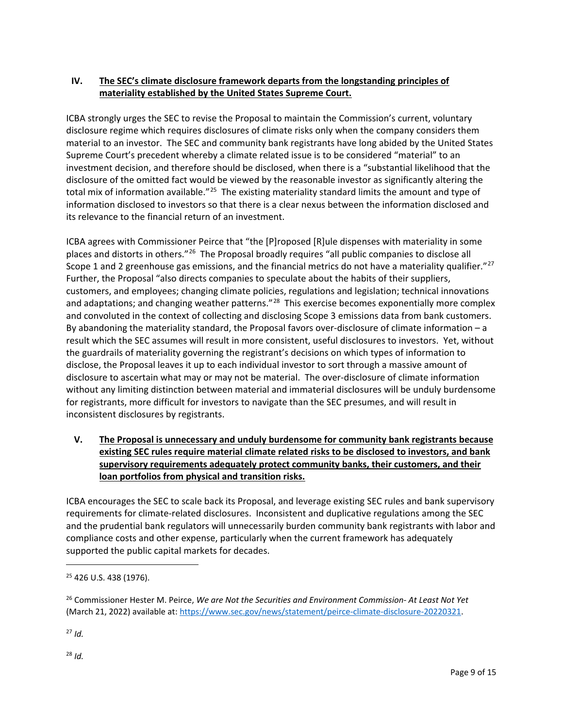# **IV. The SEC's climate disclosure framework departs from the longstanding principles of materiality established by the United States Supreme Court.**

ICBA strongly urges the SEC to revise the Proposal to maintain the Commission's current, voluntary disclosure regime which requires disclosures of climate risks only when the company considers them material to an investor. The SEC and community bank registrants have long abided by the United States Supreme Court's precedent whereby a climate related issue is to be considered "material" to an investment decision, and therefore should be disclosed, when there is a "substantial likelihood that the disclosure of the omitted fact would be viewed by the reasonable investor as significantly altering the total mix of information available."<sup>25</sup> The existing materiality standard limits the amount and type of information disclosed to investors so that there is a clear nexus between the information disclosed and its relevance to the financial return of an investment.

ICBA agrees with Commissioner Peirce that "the [P]roposed [R]ule dispenses with materiality in some places and distorts in others."[26](#page-8-1) The Proposal broadly requires "all public companies to disclose all Scope 1 and 2 greenhouse gas emissions, and the financial metrics do not have a materiality qualifier."<sup>27</sup> Further, the Proposal "also directs companies to speculate about the habits of their suppliers, customers, and employees; changing climate policies, regulations and legislation; technical innovations and adaptations; and changing weather patterns."<sup>[28](#page-8-3)</sup> This exercise becomes exponentially more complex and convoluted in the context of collecting and disclosing Scope 3 emissions data from bank customers. By abandoning the materiality standard, the Proposal favors over-disclosure of climate information – a result which the SEC assumes will result in more consistent, useful disclosures to investors. Yet, without the guardrails of materiality governing the registrant's decisions on which types of information to disclose, the Proposal leaves it up to each individual investor to sort through a massive amount of disclosure to ascertain what may or may not be material. The over-disclosure of climate information without any limiting distinction between material and immaterial disclosures will be unduly burdensome for registrants, more difficult for investors to navigate than the SEC presumes, and will result in inconsistent disclosures by registrants.

**V. The Proposal is unnecessary and unduly burdensome for community bank registrants because existing SEC rules require material climate related risks to be disclosed to investors, and bank supervisory requirements adequately protect community banks, their customers, and their loan portfolios from physical and transition risks.**

ICBA encourages the SEC to scale back its Proposal, and leverage existing SEC rules and bank supervisory requirements for climate-related disclosures. Inconsistent and duplicative regulations among the SEC and the prudential bank regulators will unnecessarily burden community bank registrants with labor and compliance costs and other expense, particularly when the current framework has adequately supported the public capital markets for decades.

<span id="page-8-3"></span><sup>28</sup> *Id.* 

<span id="page-8-0"></span><sup>25</sup> 426 U.S. 438 (1976).

<span id="page-8-1"></span><sup>26</sup> Commissioner Hester M. Peirce, *We are Not the Securities and Environment Commission- At Least Not Yet* (March 21, 2022) available at[: https://www.sec.gov/news/statement/peirce-climate-disclosure-20220321.](https://www.sec.gov/news/statement/peirce-climate-disclosure-20220321)

<span id="page-8-2"></span> $27$  *Id.*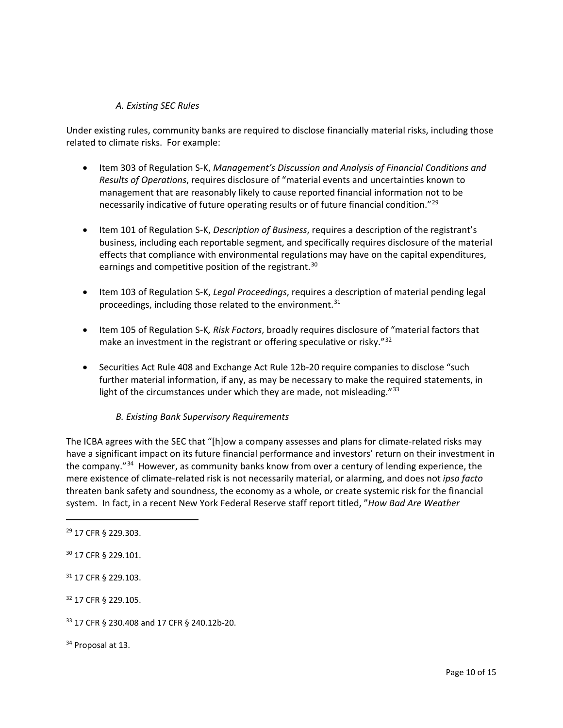#### *A. Existing SEC Rules*

Under existing rules, community banks are required to disclose financially material risks, including those related to climate risks. For example:

- Item 303 of Regulation S-K, *Management's Discussion and Analysis of Financial Conditions and Results of Operations*, requires disclosure of "material events and uncertainties known to management that are reasonably likely to cause reported financial information not to be necessarily indicative of future operating results or of future financial condition."<sup>[29](#page-9-0)</sup>
- Item 101 of Regulation S-K, *Description of Business*, requires a description of the registrant's business, including each reportable segment, and specifically requires disclosure of the material effects that compliance with environmental regulations may have on the capital expenditures, earnings and competitive position of the registrant.<sup>[30](#page-9-1)</sup>
- Item 103 of Regulation S-K, *Legal Proceedings*, requires a description of material pending legal proceedings, including those related to the environment. $31$
- Item 105 of Regulation S-K*, Risk Factors*, broadly requires disclosure of "material factors that make an investment in the registrant or offering speculative or risky."<sup>[32](#page-9-3)</sup>
- Securities Act Rule 408 and Exchange Act Rule 12b-20 require companies to disclose "such further material information, if any, as may be necessary to make the required statements, in light of the circumstances under which they are made, not misleading." $33$

#### *B. Existing Bank Supervisory Requirements*

The ICBA agrees with the SEC that "[h]ow a company assesses and plans for climate-related risks may have a significant impact on its future financial performance and investors' return on their investment in the company."<sup>[34](#page-9-5)</sup> However, as community banks know from over a century of lending experience, the mere existence of climate-related risk is not necessarily material, or alarming, and does not *ipso facto* threaten bank safety and soundness, the economy as a whole, or create systemic risk for the financial system. In fact, in a recent New York Federal Reserve staff report titled, "*How Bad Are Weather* 

- <span id="page-9-2"></span><sup>31</sup> 17 CFR § 229.103.
- <span id="page-9-3"></span><sup>32</sup> 17 CFR § 229.105.

<span id="page-9-5"></span><sup>34</sup> Proposal at 13.

<span id="page-9-0"></span><sup>29</sup> 17 CFR § 229.303.

<span id="page-9-1"></span><sup>30</sup> 17 CFR § 229.101.

<span id="page-9-4"></span><sup>33</sup> 17 CFR § 230.408 and 17 CFR § 240.12b-20.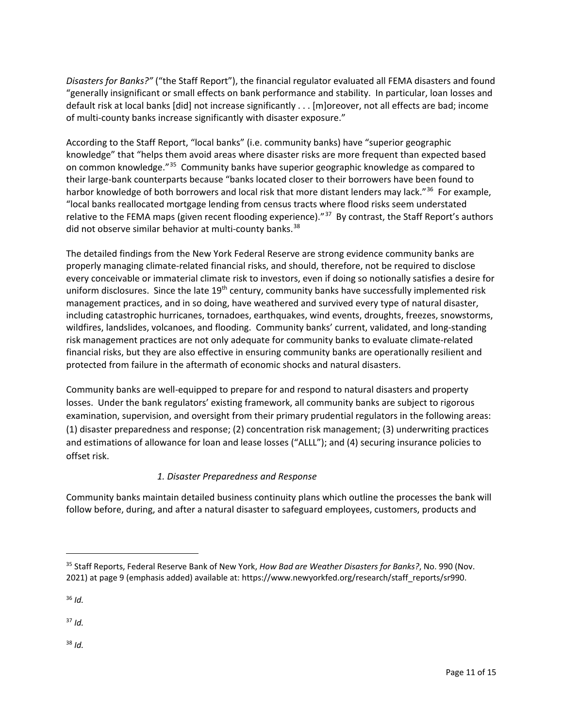*Disasters for Banks?"* ("the Staff Report"), the financial regulator evaluated all FEMA disasters and found "generally insignificant or small effects on bank performance and stability. In particular, loan losses and default risk at local banks [did] not increase significantly . . . [m]oreover, not all effects are bad; income of multi-county banks increase significantly with disaster exposure."

According to the Staff Report, "local banks" (i.e. community banks) have "superior geographic knowledge" that "helps them avoid areas where disaster risks are more frequent than expected based on common knowledge."<sup>[35](#page-10-0)</sup> Community banks have superior geographic knowledge as compared to their large-bank counterparts because "banks located closer to their borrowers have been found to harbor knowledge of both borrowers and local risk that more distant lenders may lack."<sup>[36](#page-10-1)</sup> For example, "local banks reallocated mortgage lending from census tracts where flood risks seem understated relative to the FEMA maps (given recent flooding experience)."<sup>37</sup> By contrast, the Staff Report's authors did not observe similar behavior at multi-county banks.<sup>[38](#page-10-3)</sup>

The detailed findings from the New York Federal Reserve are strong evidence community banks are properly managing climate-related financial risks, and should, therefore, not be required to disclose every conceivable or immaterial climate risk to investors, even if doing so notionally satisfies a desire for uniform disclosures. Since the late 19<sup>th</sup> century, community banks have successfully implemented risk management practices, and in so doing, have weathered and survived every type of natural disaster, including catastrophic hurricanes, tornadoes, earthquakes, wind events, droughts, freezes, snowstorms, wildfires, landslides, volcanoes, and flooding. Community banks' current, validated, and long-standing risk management practices are not only adequate for community banks to evaluate climate-related financial risks, but they are also effective in ensuring community banks are operationally resilient and protected from failure in the aftermath of economic shocks and natural disasters.

Community banks are well-equipped to prepare for and respond to natural disasters and property losses. Under the bank regulators' existing framework, all community banks are subject to rigorous examination, supervision, and oversight from their primary prudential regulators in the following areas: (1) disaster preparedness and response; (2) concentration risk management; (3) underwriting practices and estimations of allowance for loan and lease losses ("ALLL"); and (4) securing insurance policies to offset risk.

### *1. Disaster Preparedness and Response*

Community banks maintain detailed business continuity plans which outline the processes the bank will follow before, during, and after a natural disaster to safeguard employees, customers, products and

<span id="page-10-1"></span><sup>36</sup> *Id.*

<span id="page-10-2"></span><sup>37</sup> *Id.*

<span id="page-10-3"></span><sup>38</sup> *Id.*

<span id="page-10-0"></span><sup>35</sup> Staff Reports, Federal Reserve Bank of New York, *How Bad are Weather Disasters for Banks?*, No. 990 (Nov. 2021) at page 9 (emphasis added) available at: https://www.newyorkfed.org/research/staff\_reports/sr990.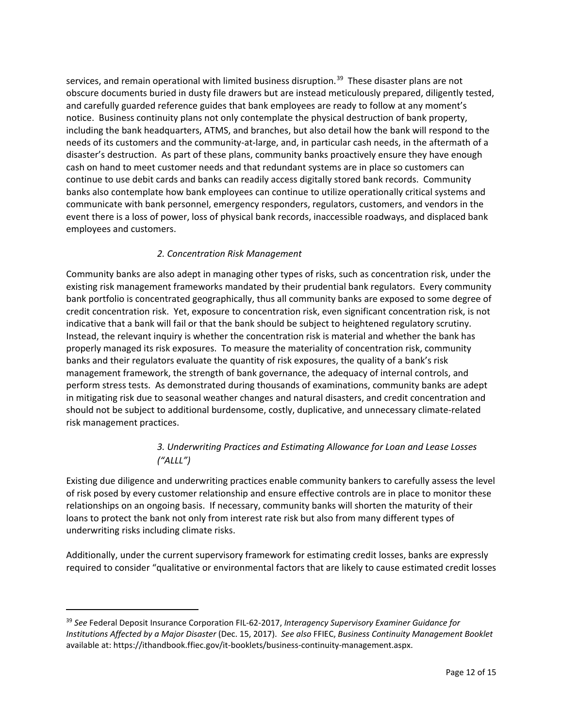services, and remain operational with limited business disruption.<sup>[39](#page-11-0)</sup> These disaster plans are not obscure documents buried in dusty file drawers but are instead meticulously prepared, diligently tested, and carefully guarded reference guides that bank employees are ready to follow at any moment's notice. Business continuity plans not only contemplate the physical destruction of bank property, including the bank headquarters, ATMS, and branches, but also detail how the bank will respond to the needs of its customers and the community-at-large, and, in particular cash needs, in the aftermath of a disaster's destruction. As part of these plans, community banks proactively ensure they have enough cash on hand to meet customer needs and that redundant systems are in place so customers can continue to use debit cards and banks can readily access digitally stored bank records. Community banks also contemplate how bank employees can continue to utilize operationally critical systems and communicate with bank personnel, emergency responders, regulators, customers, and vendors in the event there is a loss of power, loss of physical bank records, inaccessible roadways, and displaced bank employees and customers.

### *2. Concentration Risk Management*

Community banks are also adept in managing other types of risks, such as concentration risk, under the existing risk management frameworks mandated by their prudential bank regulators. Every community bank portfolio is concentrated geographically, thus all community banks are exposed to some degree of credit concentration risk. Yet, exposure to concentration risk, even significant concentration risk, is not indicative that a bank will fail or that the bank should be subject to heightened regulatory scrutiny. Instead, the relevant inquiry is whether the concentration risk is material and whether the bank has properly managed its risk exposures. To measure the materiality of concentration risk, community banks and their regulators evaluate the quantity of risk exposures, the quality of a bank's risk management framework, the strength of bank governance, the adequacy of internal controls, and perform stress tests. As demonstrated during thousands of examinations, community banks are adept in mitigating risk due to seasonal weather changes and natural disasters, and credit concentration and should not be subject to additional burdensome, costly, duplicative, and unnecessary climate-related risk management practices.

# *3. Underwriting Practices and Estimating Allowance for Loan and Lease Losses ("ALLL")*

Existing due diligence and underwriting practices enable community bankers to carefully assess the level of risk posed by every customer relationship and ensure effective controls are in place to monitor these relationships on an ongoing basis. If necessary, community banks will shorten the maturity of their loans to protect the bank not only from interest rate risk but also from many different types of underwriting risks including climate risks.

Additionally, under the current supervisory framework for estimating credit losses, banks are expressly required to consider "qualitative or environmental factors that are likely to cause estimated credit losses

<span id="page-11-0"></span><sup>39</sup> *See* Federal Deposit Insurance Corporation FIL-62-2017, *Interagency Supervisory Examiner Guidance for Institutions Affected by a Major Disaster* (Dec. 15, 2017). *See also* FFIEC, *Business Continuity Management Booklet*  available at: https://ithandbook.ffiec.gov/it-booklets/business-continuity-management.aspx.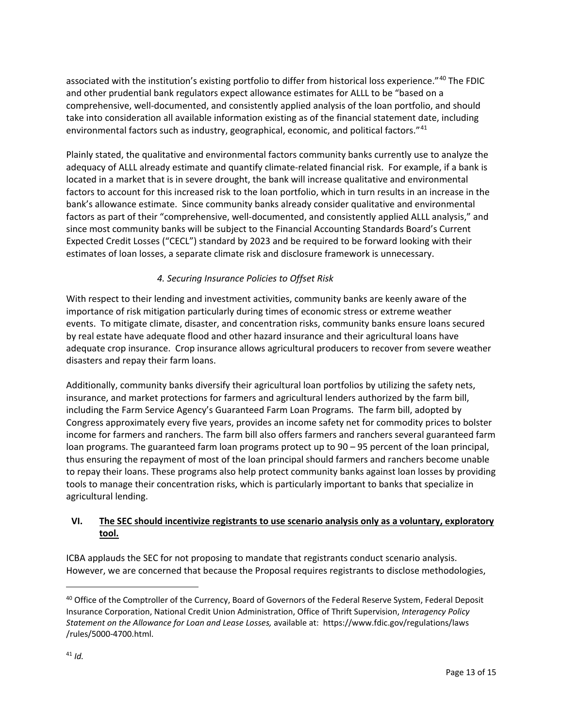associated with the institution's existing portfolio to differ from historical loss experience."[40](#page-12-0) The FDIC and other prudential bank regulators expect allowance estimates for ALLL to be "based on a comprehensive, well-documented, and consistently applied analysis of the loan portfolio, and should take into consideration all available information existing as of the financial statement date, including environmental factors such as industry, geographical, economic, and political factors."<sup>41</sup>

Plainly stated, the qualitative and environmental factors community banks currently use to analyze the adequacy of ALLL already estimate and quantify climate-related financial risk. For example, if a bank is located in a market that is in severe drought, the bank will increase qualitative and environmental factors to account for this increased risk to the loan portfolio, which in turn results in an increase in the bank's allowance estimate. Since community banks already consider qualitative and environmental factors as part of their "comprehensive, well-documented, and consistently applied ALLL analysis," and since most community banks will be subject to the Financial Accounting Standards Board's Current Expected Credit Losses ("CECL") standard by 2023 and be required to be forward looking with their estimates of loan losses, a separate climate risk and disclosure framework is unnecessary.

### *4. Securing Insurance Policies to Offset Risk*

With respect to their lending and investment activities, community banks are keenly aware of the importance of risk mitigation particularly during times of economic stress or extreme weather events. To mitigate climate, disaster, and concentration risks, community banks ensure loans secured by real estate have adequate flood and other hazard insurance and their agricultural loans have adequate crop insurance. Crop insurance allows agricultural producers to recover from severe weather disasters and repay their farm loans.

Additionally, community banks diversify their agricultural loan portfolios by utilizing the safety nets, insurance, and market protections for farmers and agricultural lenders authorized by the farm bill, including the Farm Service Agency's Guaranteed Farm Loan Programs. The farm bill, adopted by Congress approximately every five years, provides an income safety net for commodity prices to bolster income for farmers and ranchers. The farm bill also offers farmers and ranchers several guaranteed farm loan programs. The guaranteed farm loan programs protect up to 90 – 95 percent of the loan principal, thus ensuring the repayment of most of the loan principal should farmers and ranchers become unable to repay their loans. These programs also help protect community banks against loan losses by providing tools to manage their concentration risks, which is particularly important to banks that specialize in agricultural lending.

### **VI. The SEC should incentivize registrants to use scenario analysis only as a voluntary, exploratory tool.**

ICBA applauds the SEC for not proposing to mandate that registrants conduct scenario analysis. However, we are concerned that because the Proposal requires registrants to disclose methodologies,

<span id="page-12-1"></span><span id="page-12-0"></span><sup>&</sup>lt;sup>40</sup> Office of the Comptroller of the Currency, Board of Governors of the Federal Reserve System, Federal Deposit Insurance Corporation, National Credit Union Administration, Office of Thrift Supervision, *Interagency Policy Statement on the Allowance for Loan and Lease Losses,* available at: https://www.fdic.gov/regulations/laws /rules/5000-4700.html.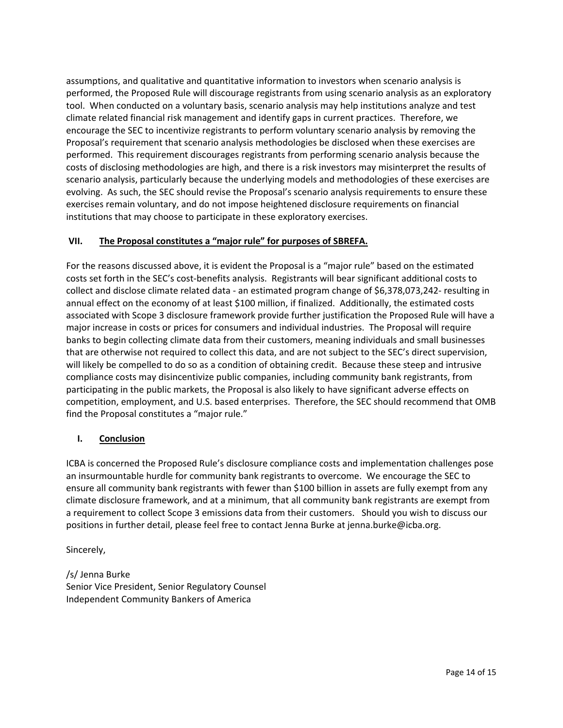assumptions, and qualitative and quantitative information to investors when scenario analysis is performed, the Proposed Rule will discourage registrants from using scenario analysis as an exploratory tool. When conducted on a voluntary basis, scenario analysis may help institutions analyze and test climate related financial risk management and identify gaps in current practices. Therefore, we encourage the SEC to incentivize registrants to perform voluntary scenario analysis by removing the Proposal's requirement that scenario analysis methodologies be disclosed when these exercises are performed. This requirement discourages registrants from performing scenario analysis because the costs of disclosing methodologies are high, and there is a risk investors may misinterpret the results of scenario analysis, particularly because the underlying models and methodologies of these exercises are evolving. As such, the SEC should revise the Proposal's scenario analysis requirements to ensure these exercises remain voluntary, and do not impose heightened disclosure requirements on financial institutions that may choose to participate in these exploratory exercises.

### **VII. The Proposal constitutes a "major rule" for purposes of SBREFA.**

For the reasons discussed above, it is evident the Proposal is a "major rule" based on the estimated costs set forth in the SEC's cost-benefits analysis. Registrants will bear significant additional costs to collect and disclose climate related data - an estimated program change of \$6,378,073,242- resulting in annual effect on the economy of at least \$100 million, if finalized. Additionally, the estimated costs associated with Scope 3 disclosure framework provide further justification the Proposed Rule will have a major increase in costs or prices for consumers and individual industries. The Proposal will require banks to begin collecting climate data from their customers, meaning individuals and small businesses that are otherwise not required to collect this data, and are not subject to the SEC's direct supervision, will likely be compelled to do so as a condition of obtaining credit. Because these steep and intrusive compliance costs may disincentivize public companies, including community bank registrants, from participating in the public markets, the Proposal is also likely to have significant adverse effects on competition, employment, and U.S. based enterprises. Therefore, the SEC should recommend that OMB find the Proposal constitutes a "major rule."

#### **I. Conclusion**

ICBA is concerned the Proposed Rule's disclosure compliance costs and implementation challenges pose an insurmountable hurdle for community bank registrants to overcome. We encourage the SEC to ensure all community bank registrants with fewer than \$100 billion in assets are fully exempt from any climate disclosure framework, and at a minimum, that all community bank registrants are exempt from a requirement to collect Scope 3 emissions data from their customers. Should you wish to discuss our positions in further detail, please feel free to contact Jenna Burke at jenna.burke@icba.org.

Sincerely,

/s/ Jenna Burke Senior Vice President, Senior Regulatory Counsel Independent Community Bankers of America